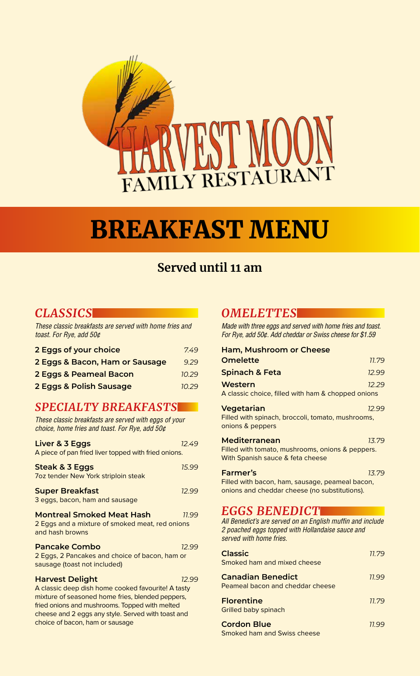

# BREAKFAST MENU

# **Served until 11 am**

# *CLASSICS*

*These classic breakfasts are served with home fries and toast. For Rye, add 50¢*

| 2 Eggs of your choice          | 7.49  |
|--------------------------------|-------|
| 2 Eggs & Bacon, Ham or Sausage | 9.29  |
| 2 Eggs & Peameal Bacon         | 10.29 |
| 2 Eggs & Polish Sausage        | 10.29 |

# *SPECIALTY BREAKFASTS*

*These classic breakfasts are served with eggs of your choice, home fries and toast. For Rye, add 50¢* **Liver & 3 Eggs** *12.49* A piece of pan fried liver topped with fried onions. **Steak & 3 Eggs** *15.99* 7oz tender New York striploin steak **Super Breakfast** *12.99* 3 eggs, bacon, ham and sausage **Montreal Smoked Meat Hash** *11.99* 2 Eggs and a mixture of smoked meat, red onions and hash browns **Pancake Combo** *12.99* 2 Eggs, 2 Pancakes and choice of bacon, ham or sausage (toast not included) **Harvest Delight** *12.99* A classic deep dish home cooked favourite! A tasty mixture of seasoned home fries, blended peppers, fried onions and mushrooms. Topped with melted cheese and 2 eggs any style. Served with toast and choice of bacon, ham or sausage

### *OMELETTES*

*Made with three eggs and served with home fries and toast. For Rye, add 50¢. Add cheddar or Swiss cheese for \$1.59*

| Ham, Mushroom or Cheese                                                                                                                                           |       |
|-------------------------------------------------------------------------------------------------------------------------------------------------------------------|-------|
| <b>Omelette</b>                                                                                                                                                   | 11.79 |
| <b>Spinach &amp; Feta</b>                                                                                                                                         | 12.99 |
| Western<br>A classic choice, filled with ham & chopped onions                                                                                                     | 12.29 |
| Vegetarian<br>Filled with spinach, broccoli, tomato, mushrooms,<br>onions & peppers                                                                               | 12.99 |
| Mediterranean<br>Filled with tomato, mushrooms, onions & peppers.<br>With Spanish sauce & feta cheese                                                             | 13.79 |
| <b>Farmer's</b><br>Filled with bacon, ham, sausage, peameal bacon,<br>onions and cheddar cheese (no substitutions).                                               | 13.79 |
| <b>EGGS BENEDICT</b><br>All Benedict's are served on an English muffin and include<br>2 poached eggs topped with Hollandaise sauce and<br>served with home fries. |       |

| <b>Classic</b><br>Smoked ham and mixed cheese                       | 11.79 |
|---------------------------------------------------------------------|-------|
| <b>Canadian Benedict</b><br><b>Peameal bacon and cheddar cheese</b> | 77.99 |
| <b>Florentine</b><br><b>Grilled baby spinach</b>                    | 77.79 |
| <b>Cordon Blue</b>                                                  |       |

Smoked ham and Swiss cheese